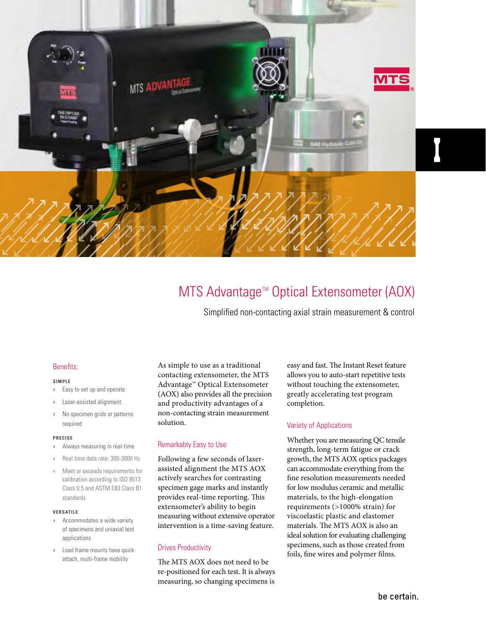

# MTS Advantage™ Optical Extensometer (AOX)

Simplified non-contacting axial strain measurement & control

#### Benefits:

#### **SIMPLE**

- » Easy to set up and operate
- » Laser-assisted alignment
- » No specimen grids or patterns required

#### **PRECISE**

- » Always measuring in real-time
- » Real time data rate: 300-3000 Hz
- » Meet or exceeds requirements for calibration according to ISO 9513 Class 0.5 and ASTM E83 Class B1 standards

#### **VERSATILE**

- » Accommodates a wide variety of specimens and uniaxial test applications
- » Load frame mounts have quickattach, multi-frame mobility

As simple to use as a traditional contacting extensometer, the MTS Advantage™ Optical Extensometer (AOX) also provides all the precision and productivity advantages of a non-contacting strain measurement solution.

#### Remarkably Easy to Use

Following a few seconds of laserassisted alignment the MTS AOX actively searches for contrasting specimen gage marks and instantly provides real-time reporting. This extensometer's ability to begin measuring without extensive operator intervention is a time-saving feature.

#### Drives Productivity

The MTS AOX does not need to be re-positioned for each test. It is always measuring, so changing specimens is

easy and fast. The Instant Reset feature allows you to auto-start repetitive tests without touching the extensometer, greatly accelerating test program completion.

#### Variety of Applications

Whether you are measuring QC tensile strength, long-term fatigue or crack growth, the MTS AOX optics packages can accommodate everything from the fine resolution measurements needed for low modulus ceramic and metallic materials, to the high-elongation requirements (>1000% strain) for viscoelastic plastic and elastomer materials. The MTS AOX is also an ideal solution for evaluating challenging specimens, such as those created from foils, fine wires and polymer films.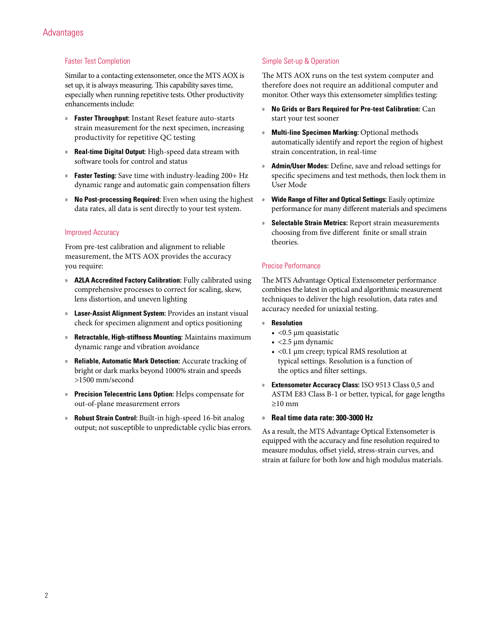#### Faster Test Completion

Similar to a contacting extensometer, once the MTS AOX is set up, it is always measuring. This capability saves time, especially when running repetitive tests. Other productivity enhancements include:

- » **Faster Throughput:** Instant Reset feature auto-starts strain measurement for the next specimen, increasing productivity for repetitive QC testing
- » **Real-time Digital Output:** High-speed data stream with software tools for control and status
- » **Faster Testing:** Save time with industry-leading 200+ Hz dynamic range and automatic gain compensation filters
- » **No Post-processing Required:** Even when using the highest data rates, all data is sent directly to your test system.

#### Improved Accuracy

From pre-test calibration and alignment to reliable measurement, the MTS AOX provides the accuracy you require:

- » **A2LA Accredited Factory Calibration:** Fully calibrated using comprehensive processes to correct for scaling, skew, lens distortion, and uneven lighting
- » **Laser-Assist Alignment System:** Provides an instant visual check for specimen alignment and optics positioning
- » **Retractable, High-stiffness Mounting:** Maintains maximum dynamic range and vibration avoidance
- » **Reliable, Automatic Mark Detection:** Accurate tracking of bright or dark marks beyond 1000% strain and speeds >1500 mm/second
- » **Precision Telecentric Lens Option:** Helps compensate for out-of-plane measurement errors
- » **Robust Strain Control:** Built-in high-speed 16-bit analog output; not susceptible to unpredictable cyclic bias errors.

#### Simple Set-up & Operation

The MTS AOX runs on the test system computer and therefore does not require an additional computer and monitor. Other ways this extensometer simplifies testing:

- » **No Grids or Bars Required for Pre-test Calibration:** Can start your test sooner
- » **Multi-line Specimen Marking:** Optional methods automatically identify and report the region of highest strain concentration, in real-time
- » **Admin/User Modes:** Define, save and reload settings for specific specimens and test methods, then lock them in User Mode
- » **Wide Range of Filter and Optical Settings:** Easily optimize performance for many different materials and specimens
- » **Selectable Strain Metrics:** Report strain measurements choosing from five different finite or small strain theories.

#### Precise Performance

The MTS Advantage Optical Extensometer performance combines the latest in optical and algorithmic measurement techniques to deliver the high resolution, data rates and accuracy needed for uniaxial testing.

- » **Resolution**
	- <0.5 μm quasistatic
	- $\bullet$  <2.5 µm dynamic
	- <0.1 μm creep; typical RMS resolution at typical settings. Resolution is a function of the optics and filter settings.
- » **Extensometer Accuracy Class:** ISO 9513 Class 0,5 and ASTM E83 Class B-1 or better, typical, for gage lengths ≥10 mm

#### » **Real time data rate: 300-3000 Hz**

As a result, the MTS Advantage Optical Extensometer is equipped with the accuracy and fine resolution required to measure modulus, offset yield, stress-strain curves, and strain at failure for both low and high modulus materials.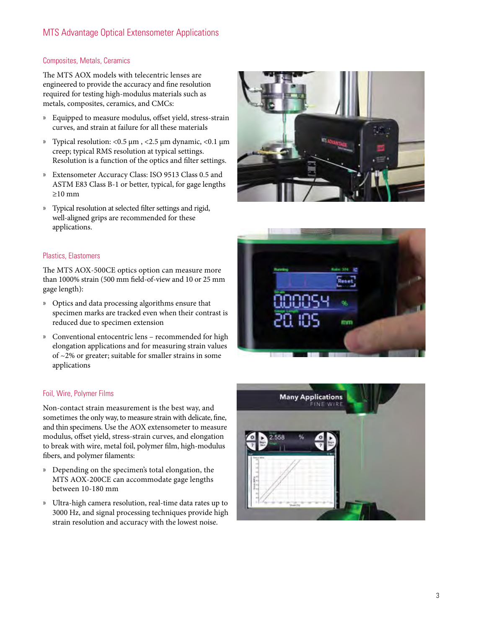## MTS Advantage Optical Extensometer Applications

#### Composites, Metals, Ceramics

The MTS AOX models with telecentric lenses are engineered to provide the accuracy and fine resolution required for testing high-modulus materials such as metals, composites, ceramics, and CMCs:

- » Equipped to measure modulus, offset yield, stress-strain curves, and strain at failure for all these materials
- » Typical resolution: <0.5 μm , <2.5 μm dynamic, <0.1 μm creep; typical RMS resolution at typical settings. Resolution is a function of the optics and filter settings.
- » Extensometer Accuracy Class: ISO 9513 Class 0.5 and ASTM E83 Class B-1 or better, typical, for gage lengths ≥10 mm
- » Typical resolution at selected filter settings and rigid, well-aligned grips are recommended for these applications.

#### Plastics, Elastomers

The MTS AOX-500CE optics option can measure more than 1000% strain (500 mm field-of-view and 10 or 25 mm gage length):

- » Optics and data processing algorithms ensure that specimen marks are tracked even when their contrast is reduced due to specimen extension
- » Conventional entocentric lens recommended for high elongation applications and for measuring strain values of ~2% or greater; suitable for smaller strains in some applications

#### Foil, Wire, Polymer Films

Non-contact strain measurement is the best way, and sometimes the only way, to measure strain with delicate, fine, and thin specimens. Use the AOX extensometer to measure modulus, offset yield, stress-strain curves, and elongation to break with wire, metal foil, polymer film, high-modulus fibers, and polymer filaments:

- » Depending on the specimen's total elongation, the MTS AOX-200CE can accommodate gage lengths between 10-180 mm
- » Ultra-high camera resolution, real-time data rates up to 3000 Hz, and signal processing techniques provide high strain resolution and accuracy with the lowest noise.





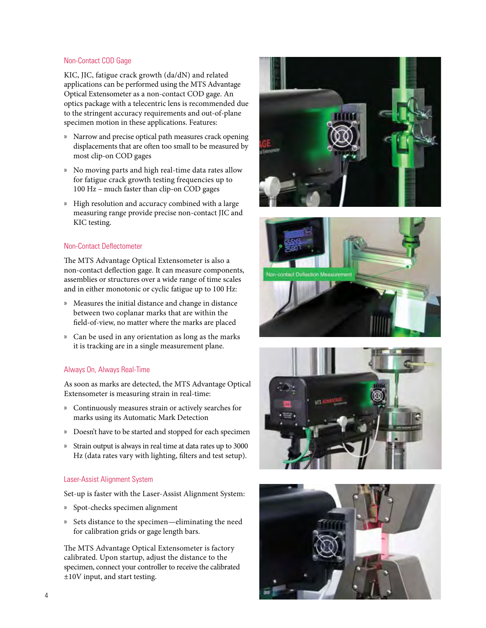#### Non-Contact COD Gage

KIC, JIC, fatigue crack growth (da/dN) and related applications can be performed using the MTS Advantage Optical Extensometer as a non-contact COD gage. An optics package with a telecentric lens is recommended due to the stringent accuracy requirements and out-of-plane specimen motion in these applications. Features:

- » Narrow and precise optical path measures crack opening displacements that are often too small to be measured by most clip-on COD gages
- » No moving parts and high real-time data rates allow for fatigue crack growth testing frequencies up to 100 Hz – much faster than clip-on COD gages
- » High resolution and accuracy combined with a large measuring range provide precise non-contact JIC and KIC testing.

#### Non-Contact Deflectometer

The MTS Advantage Optical Extensometer is also a non-contact deflection gage. It can measure components, assemblies or structures over a wide range of time scales and in either monotonic or cyclic fatigue up to 100 Hz:

- » Measures the initial distance and change in distance between two coplanar marks that are within the field-of-view, no matter where the marks are placed
- » Can be used in any orientation as long as the marks it is tracking are in a single measurement plane.

#### Always On, Always Real-Time

As soon as marks are detected, the MTS Advantage Optical Extensometer is measuring strain in real-time:

- » Continuously measures strain or actively searches for marks using its Automatic Mark Detection
- » Doesn't have to be started and stopped for each specimen
- » Strain output is always in real time at data rates up to 3000 Hz (data rates vary with lighting, filters and test setup).

#### Laser-Assist Alignment System

Set-up is faster with the Laser-Assist Alignment System:

- » Spot-checks specimen alignment
- » Sets distance to the specimen—eliminating the need for calibration grids or gage length bars.

The MTS Advantage Optical Extensometer is factory calibrated. Upon startup, adjust the distance to the specimen, connect your controller to receive the calibrated ±10V input, and start testing.







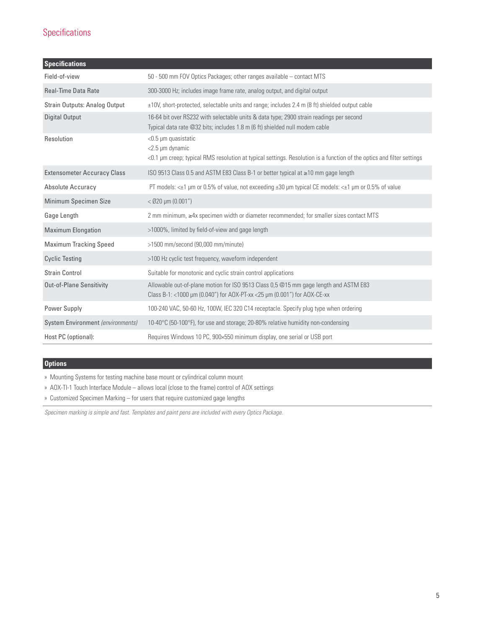# Specifications

| <b>Specifications</b>              |                                                                                                                                                                            |
|------------------------------------|----------------------------------------------------------------------------------------------------------------------------------------------------------------------------|
| Field-of-view                      | 50 - 500 mm FOV Optics Packages; other ranges available - contact MTS                                                                                                      |
| <b>Real-Time Data Rate</b>         | 300-3000 Hz; includes image frame rate, analog output, and digital output                                                                                                  |
| Strain Outputs: Analog Output      | $\pm$ 10V, short-protected, selectable units and range; includes 2.4 m (8 ft) shielded output cable                                                                        |
| <b>Digital Output</b>              | 16-64 bit over RS232 with selectable units & data type; 2900 strain readings per second<br>Typical data rate @32 bits; includes 1.8 m (6 ft) shielded null modem cable     |
| Resolution                         | $<$ 0.5 µm quasistatic<br><2.5 µm dynamic<br><0.1 µm creep; typical RMS resolution at typical settings. Resolution is a function of the optics and filter settings         |
| <b>Extensometer Accuracy Class</b> | ISO 9513 Class 0.5 and ASTM E83 Class B-1 or better typical at ≥10 mm gage length                                                                                          |
| Absolute Accuracy                  | PT models: < $\pm$ 1 µm or 0.5% of value, not exceeding $\pm$ 30 µm typical CE models: < $\pm$ 1 µm or 0.5% of value                                                       |
| Minimum Specimen Size              | $<$ Ø20 µm (0.001")                                                                                                                                                        |
| Gage Length                        | 2 mm minimum, ≥4x specimen width or diameter recommended; for smaller sizes contact MTS                                                                                    |
| <b>Maximum Elongation</b>          | >1000%, limited by field-of-view and gage length                                                                                                                           |
| <b>Maximum Tracking Speed</b>      | $>1500$ mm/second (90,000 mm/minute)                                                                                                                                       |
| <b>Cyclic Testing</b>              | >100 Hz cyclic test frequency, waveform independent                                                                                                                        |
| <b>Strain Control</b>              | Suitable for monotonic and cyclic strain control applications                                                                                                              |
| <b>Out-of-Plane Sensitivity</b>    | Allowable out-of-plane motion for ISO 9513 Class 0,5 @15 mm gage length and ASTM E83<br>Class B-1: <1000 $\mu$ m (0.040") for AOX-PT-xx <25 $\mu$ m (0.001") for AOX-CE-xx |
| Power Supply                       | 100-240 VAC, 50-60 Hz, 100W, IEC 320 C14 receptacle. Specify plug type when ordering                                                                                       |
| System Environment (environments)  | 10-40°C (50-100°F), for use and storage; 20-80% relative humidity non-condensing                                                                                           |
| Host PC (optional):                | Requires Windows 10 PC, 900×550 minimum display, one serial or USB port                                                                                                    |

### **Options**

» Mounting Systems for testing machine base mount or cylindrical column mount

- » AOX-TI-1 Touch Interface Module allows local (close to the frame) control of AOX settings
- » Customized Specimen Marking for users that require customized gage lengths

*Specimen marking is simple and fast. Templates and paint pens are included with every Optics Package.*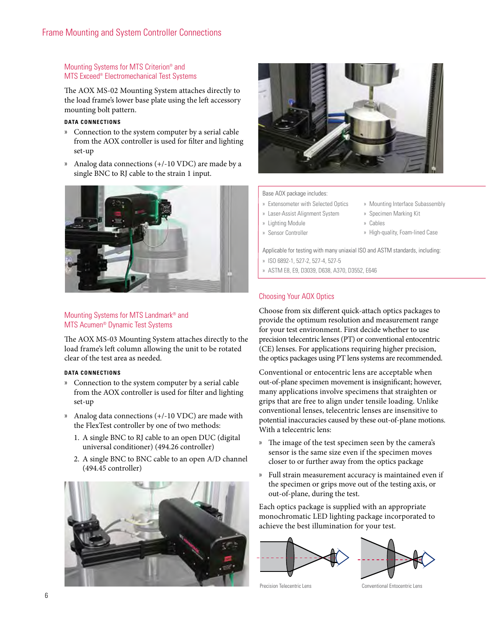#### Mounting Systems for MTS Criterion® and MTS Exceed® Electromechanical Test Systems

The AOX MS-02 Mounting System attaches directly to the load frame's lower base plate using the left accessory mounting bolt pattern.

#### **DATA CONNECTIONS**

- » Connection to the system computer by a serial cable from the AOX controller is used for filter and lighting set-up
- » Analog data connections (+/-10 VDC) are made by a single BNC to RJ cable to the strain 1 input.



#### Mounting Systems for MTS Landmark® and MTS Acumen® Dynamic Test Systems

The AOX MS-03 Mounting System attaches directly to the load frame's left column allowing the unit to be rotated clear of the test area as needed.

#### **DATA CONNECTIONS**

- » Connection to the system computer by a serial cable from the AOX controller is used for filter and lighting set-up
- » Analog data connections (+/-10 VDC) are made with the FlexTest controller by one of two methods:
	- 1. A single BNC to RJ cable to an open DUC (digital universal conditioner) (494.26 controller)
	- 2. A single BNC to BNC cable to an open A/D channel (494.45 controller)





#### Base AOX package includes:

- » Extensometer with Selected Optics
- » Laser-Assist Alignment System
- » Lighting Module
- » Sensor Controller
- » Specimen Marking Kit » Cables

» Mounting Interface Subassembly

» High-quality, Foam-lined Case

Applicable for testing with many uniaxial ISO and ASTM standards, including:

- » ISO 6892-1, 527-2, 527-4, 527-5
- » ASTM E8, E9, D3039, D638, A370, D3552, E646

#### Choosing Your AOX Optics

Choose from six different quick-attach optics packages to provide the optimum resolution and measurement range for your test environment. First decide whether to use precision telecentric lenses (PT) or conventional entocentric (CE) lenses. For applications requiring higher precision, the optics packages using PT lens systems are recommended.

Conventional or entocentric lens are acceptable when out-of-plane specimen movement is insignificant; however, many applications involve specimens that straighten or grips that are free to align under tensile loading. Unlike conventional lenses, telecentric lenses are insensitive to potential inaccuracies caused by these out-of-plane motions. With a telecentric lens:

- » The image of the test specimen seen by the camera's sensor is the same size even if the specimen moves closer to or further away from the optics package
- » Full strain measurement accuracy is maintained even if the specimen or grips move out of the testing axis, or out-of-plane, during the test.

Each optics package is supplied with an appropriate monochromatic LED lighting package incorporated to achieve the best illumination for your test.





Precision Telecentric Lens Conventional Entocentric Lens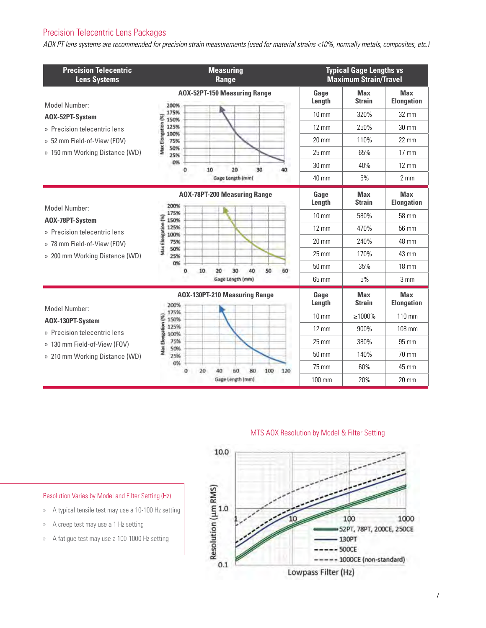# Precision Telecentric Lens Packages

*AOX PT lens systems are recommended for precision strain measurements (used for material strains <10%, normally metals, composites, etc.)*

| <b>Precision Telecentric</b><br><b>Lens Systems</b> | <b>Measuring</b><br><b>Range</b>              |                 | <b>Typical Gage Lengths vs</b><br><b>Maximum Strain/Travel</b> |                                 |  |
|-----------------------------------------------------|-----------------------------------------------|-----------------|----------------------------------------------------------------|---------------------------------|--|
| Model Number:<br>AOX-52PT-System                    | AOX-52PT-150 Measuring Range<br>200%          | Gage<br>Length  | <b>Max</b><br><b>Strain</b>                                    | <b>Max</b><br><b>Elongation</b> |  |
|                                                     | 175%<br>150%                                  | $10 \text{ mm}$ | 320%                                                           | $32 \text{ mm}$                 |  |
| » Precision telecentric lens                        | Max Elongation (%<br>125%<br>100%             | $12 \text{ mm}$ | 250%                                                           | $30 \text{ mm}$                 |  |
| » 52 mm Field-of-View (FOV)                         | 75%                                           | $20 \text{ mm}$ | 110%                                                           | 22 mm                           |  |
| » 150 mm Working Distance (WD)                      | 50%<br>25%                                    | $25 \text{ mm}$ | 65%                                                            | $17 \text{ mm}$                 |  |
|                                                     | 0%<br>20<br>30<br>10<br>40                    | $30 \text{ mm}$ | 40%                                                            | $12 \text{ mm}$                 |  |
|                                                     | Gage Length (mm)                              | 40 mm           | 5%                                                             | $2 \, \text{mm}$                |  |
|                                                     | <b>AOX-78PT-200 Measuring Range</b><br>200%   | Gage<br>Length  | <b>Max</b><br><b>Strain</b>                                    | <b>Max</b><br><b>Elongation</b> |  |
| Model Number:<br>AOX-78PT-System                    | 175%<br>150%                                  | $10 \text{ mm}$ | 580%                                                           | 58 mm                           |  |
| » Precision telecentric lens                        | Ellongation (%<br>125%<br>100%                | $12 \text{ mm}$ | 470%                                                           | 56 mm                           |  |
| » 78 mm Field-of-View (FOV)                         | 75%                                           | $20 \text{ mm}$ | 240%                                                           | 48 mm                           |  |
| » 200 mm Working Distance (WD)                      | Vlax<br>50%<br>25%                            | $25 \text{ mm}$ | 170%                                                           | 43 mm                           |  |
|                                                     | 0%<br>50<br>10<br>20<br>30<br>40<br>60        | $50 \text{ mm}$ | 35%                                                            | $18 \text{ mm}$                 |  |
|                                                     | Gage Length (mm)                              | 65 mm           | 5%                                                             | $3 \text{ mm}$                  |  |
| Model Number:                                       | AOX-130PT-210 Measuring Range<br>200%         | Gage<br>Length  | <b>Max</b><br><b>Strain</b>                                    | <b>Max</b><br><b>Elongation</b> |  |
| AOX-130PT-System                                    | 175%<br>ŝ<br>150%                             | $10 \text{ mm}$ | $\geq 1000\%$                                                  | 110 mm                          |  |
| » Precision telecentric lens                        | 125%<br>100%                                  | $12 \text{ mm}$ | 900%                                                           | 108 mm                          |  |
| » 130 mm Field-of-View (FOV)                        | <b>Max Elongation</b><br>75%<br>۹<br>50%      | $25 \text{ mm}$ | 380%                                                           | 95 mm                           |  |
| » 210 mm Working Distance (WD)                      | ۹<br>25%                                      | $50 \text{ mm}$ | 140%                                                           | 70 mm                           |  |
|                                                     | 0%<br>80<br>0<br>20<br>60<br>100<br>120<br>40 | 75 mm           | 60%                                                            | 45 mm                           |  |
|                                                     | Gage Length (mm)                              | 100 mm          | 20%                                                            | 20 mm                           |  |

MTS AOX Resolution by Model & Filter Setting



#### Resolution Varies by Model and Filter Setting (Hz)

- » A typical tensile test may use a 10-100 Hz setting
- » A creep test may use a 1 Hz setting
- » A fatigue test may use a 100-1000 Hz setting